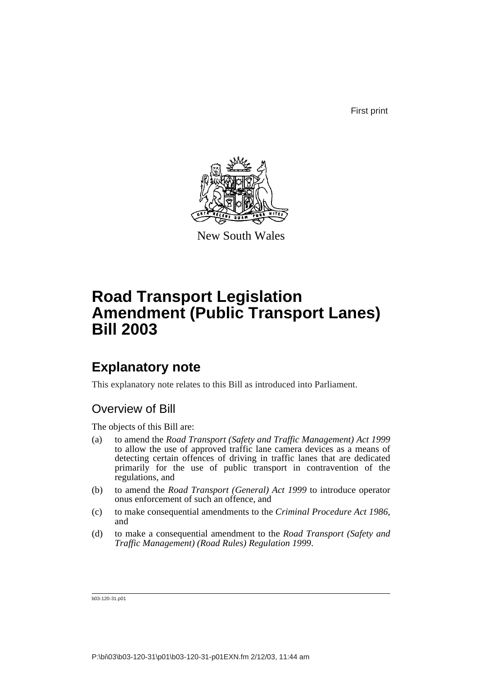First print



New South Wales

# **Road Transport Legislation Amendment (Public Transport Lanes) Bill 2003**

## **Explanatory note**

This explanatory note relates to this Bill as introduced into Parliament.

## Overview of Bill

The objects of this Bill are:

- (a) to amend the *Road Transport (Safety and Traffic Management) Act 1999* to allow the use of approved traffic lane camera devices as a means of detecting certain offences of driving in traffic lanes that are dedicated primarily for the use of public transport in contravention of the regulations, and
- (b) to amend the *Road Transport (General) Act 1999* to introduce operator onus enforcement of such an offence, and
- (c) to make consequential amendments to the *Criminal Procedure Act 1986*, and
- (d) to make a consequential amendment to the *Road Transport (Safety and Traffic Management) (Road Rules) Regulation 1999*.

b03-120-31.p01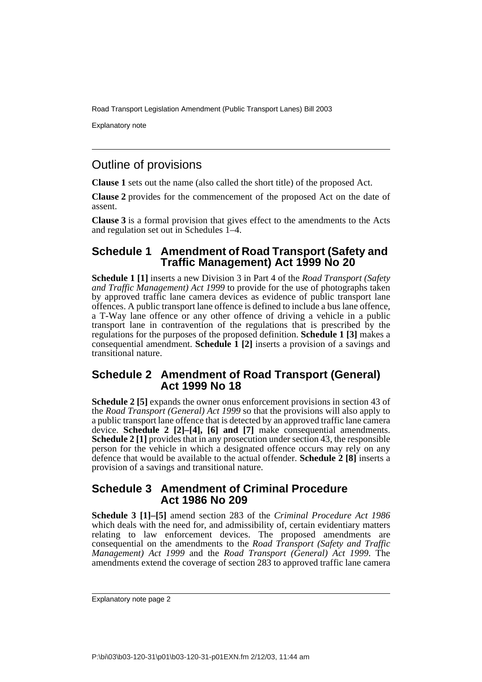Explanatory note

## Outline of provisions

**Clause 1** sets out the name (also called the short title) of the proposed Act.

**Clause 2** provides for the commencement of the proposed Act on the date of assent.

**Clause 3** is a formal provision that gives effect to the amendments to the Acts and regulation set out in Schedules 1–4.

## **Schedule 1 Amendment of Road Transport (Safety and Traffic Management) Act 1999 No 20**

**Schedule 1 [1]** inserts a new Division 3 in Part 4 of the *Road Transport (Safety and Traffic Management) Act 1999* to provide for the use of photographs taken by approved traffic lane camera devices as evidence of public transport lane offences. A public transport lane offence is defined to include a bus lane offence, a T-Way lane offence or any other offence of driving a vehicle in a public transport lane in contravention of the regulations that is prescribed by the regulations for the purposes of the proposed definition. **Schedule 1 [3]** makes a consequential amendment. **Schedule 1 [2]** inserts a provision of a savings and transitional nature.

## **Schedule 2 Amendment of Road Transport (General) Act 1999 No 18**

**Schedule 2 [5]** expands the owner onus enforcement provisions in section 43 of the *Road Transport (General) Act 1999* so that the provisions will also apply to a public transport lane offence that is detected by an approved traffic lane camera device. **Schedule 2 [2]–[4], [6] and [7]** make consequential amendments. **Schedule 2 [1]** provides that in any prosecution under section 43, the responsible person for the vehicle in which a designated offence occurs may rely on any defence that would be available to the actual offender. **Schedule 2 [8]** inserts a provision of a savings and transitional nature.

## **Schedule 3 Amendment of Criminal Procedure Act 1986 No 209**

**Schedule 3 [1]–[5]** amend section 283 of the *Criminal Procedure Act 1986* which deals with the need for, and admissibility of, certain evidentiary matters relating to law enforcement devices. The proposed amendments are consequential on the amendments to the *Road Transport (Safety and Traffic Management) Act 1999* and the *Road Transport (General) Act 1999*. The amendments extend the coverage of section 283 to approved traffic lane camera

Explanatory note page 2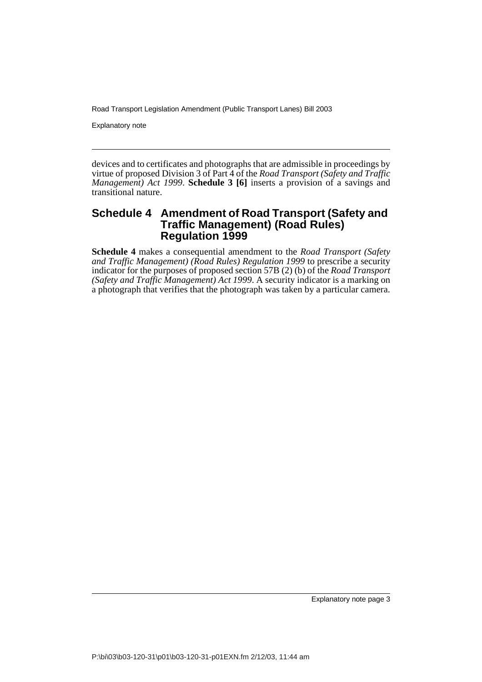Explanatory note

devices and to certificates and photographs that are admissible in proceedings by virtue of proposed Division 3 of Part 4 of the *Road Transport (Safety and Traffic Management) Act 1999*. **Schedule 3 [6]** inserts a provision of a savings and transitional nature.

## **Schedule 4 Amendment of Road Transport (Safety and Traffic Management) (Road Rules) Regulation 1999**

**Schedule 4** makes a consequential amendment to the *Road Transport (Safety and Traffic Management) (Road Rules) Regulation 1999* to prescribe a security indicator for the purposes of proposed section 57B (2) (b) of the *Road Transport (Safety and Traffic Management) Act 1999*. A security indicator is a marking on a photograph that verifies that the photograph was taken by a particular camera.

Explanatory note page 3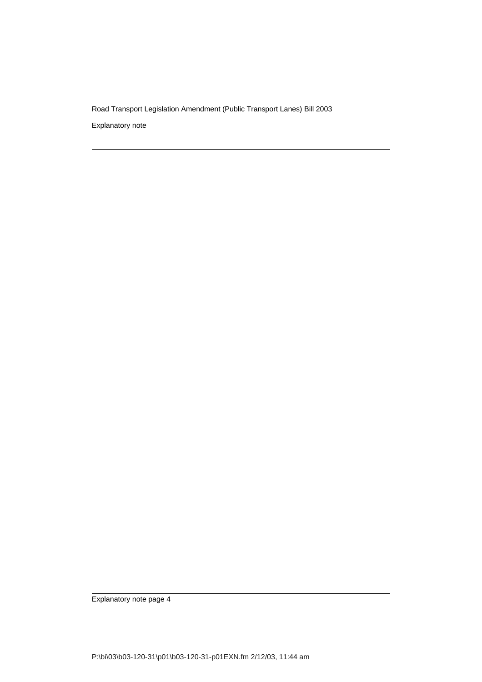Explanatory note

Explanatory note page 4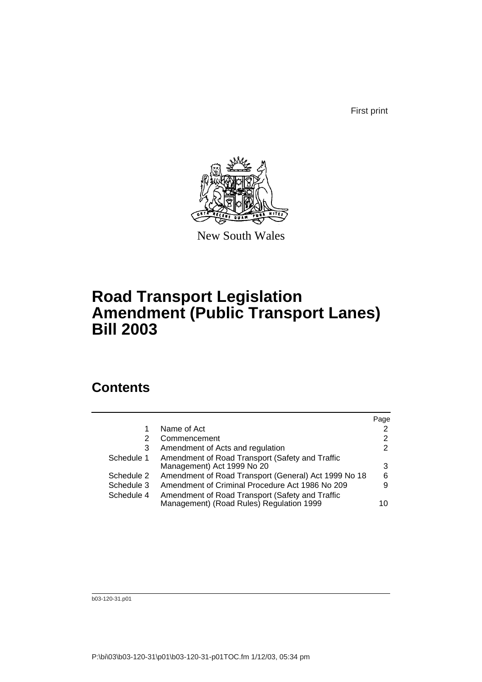First print



New South Wales

# **Road Transport Legislation Amendment (Public Transport Lanes) Bill 2003**

## **Contents**

|            |                                                      | Page           |
|------------|------------------------------------------------------|----------------|
|            | Name of Act                                          | $\overline{2}$ |
|            | Commencement                                         | $\overline{2}$ |
| 3          | Amendment of Acts and regulation                     | $\mathcal{P}$  |
| Schedule 1 | Amendment of Road Transport (Safety and Traffic      |                |
|            | Management) Act 1999 No 20                           | 3              |
| Schedule 2 | Amendment of Road Transport (General) Act 1999 No 18 | 6              |
| Schedule 3 | Amendment of Criminal Procedure Act 1986 No 209      | 9              |
| Schedule 4 | Amendment of Road Transport (Safety and Traffic      |                |
|            | Management) (Road Rules) Regulation 1999             | 10             |

b03-120-31.p01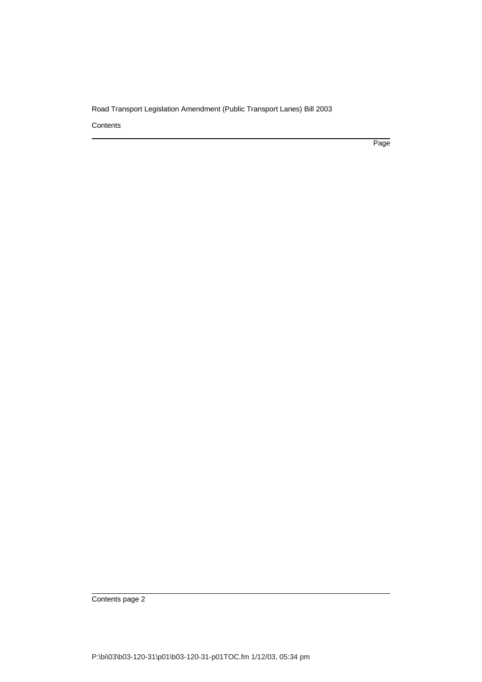**Contents** 

Page

Contents page 2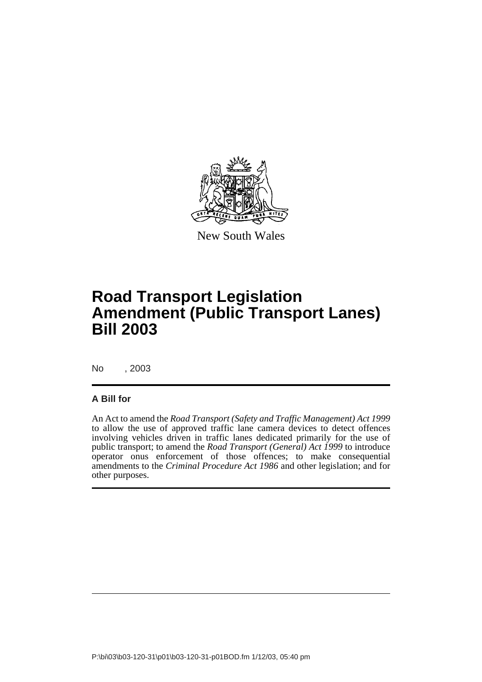

New South Wales

# **Road Transport Legislation Amendment (Public Transport Lanes) Bill 2003**

No , 2003

## **A Bill for**

An Act to amend the *Road Transport (Safety and Traffic Management) Act 1999* to allow the use of approved traffic lane camera devices to detect offences involving vehicles driven in traffic lanes dedicated primarily for the use of public transport; to amend the *Road Transport (General) Act 1999* to introduce operator onus enforcement of those offences; to make consequential amendments to the *Criminal Procedure Act 1986* and other legislation; and for other purposes.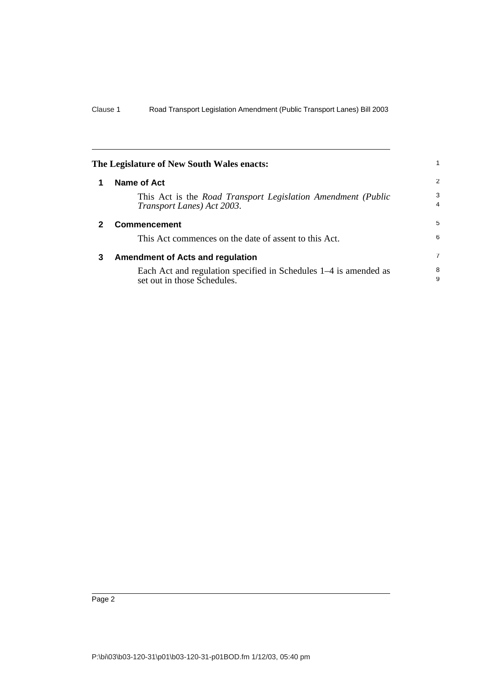<span id="page-7-2"></span><span id="page-7-1"></span><span id="page-7-0"></span>

| The Legislature of New South Wales enacts: |                                                                                                 |                     |
|--------------------------------------------|-------------------------------------------------------------------------------------------------|---------------------|
| 1                                          | Name of Act                                                                                     | 2                   |
|                                            | This Act is the Road Transport Legislation Amendment (Public<br>Transport Lanes) Act 2003.      | 3<br>$\overline{4}$ |
| $\overline{2}$                             | <b>Commencement</b>                                                                             | 5                   |
|                                            | This Act commences on the date of assent to this Act.                                           | 6                   |
| 3                                          | <b>Amendment of Acts and regulation</b>                                                         | $\overline{7}$      |
|                                            | Each Act and regulation specified in Schedules 1–4 is amended as<br>set out in those Schedules. | 8<br>9              |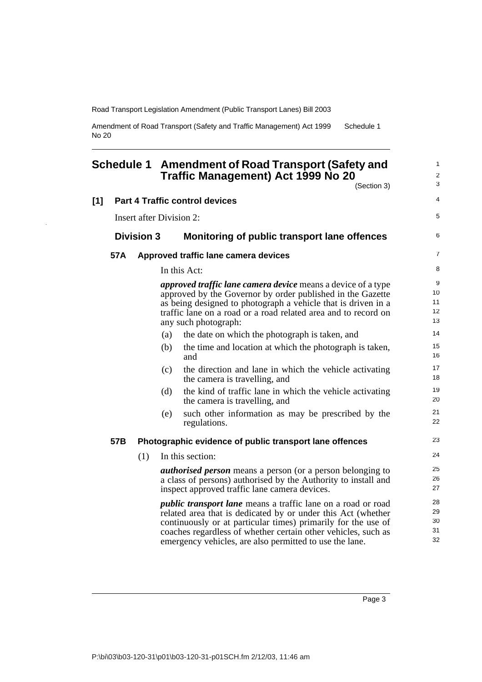Amendment of Road Transport (Safety and Traffic Management) Act 1999 No 20 Schedule 1

#### <span id="page-8-0"></span>**Schedule 1 Amendment of Road Transport (Safety and Traffic Management) Act 1999 No 20** (Section 3) **[1] Part 4 Traffic control devices** Insert after Division 2: **Division 3 Monitoring of public transport lane offences 57A Approved traffic lane camera devices** In this Act: *approved traffic lane camera device* means a device of a type approved by the Governor by order published in the Gazette as being designed to photograph a vehicle that is driven in a traffic lane on a road or a road related area and to record on any such photograph: (a) the date on which the photograph is taken, and (b) the time and location at which the photograph is taken, and (c) the direction and lane in which the vehicle activating the camera is travelling, and (d) the kind of traffic lane in which the vehicle activating the camera is travelling, and (e) such other information as may be prescribed by the regulations. **57B Photographic evidence of public transport lane offences** (1) In this section: *authorised person* means a person (or a person belonging to a class of persons) authorised by the Authority to install and 10 11 12 13 14 15 16 17 18 19 20 21 22 23 24 25 26 27

*public transport lane* means a traffic lane on a road or road related area that is dedicated by or under this Act (whether continuously or at particular times) primarily for the use of coaches regardless of whether certain other vehicles, such as emergency vehicles, are also permitted to use the lane.

inspect approved traffic lane camera devices.

Page 3

6

7 8 9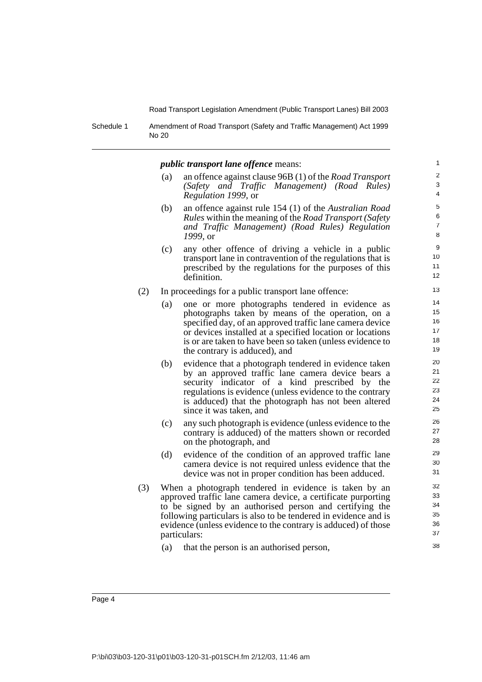Schedule 1 Amendment of Road Transport (Safety and Traffic Management) Act 1999 No 20

#### *public transport lane offence* means:

(a) an offence against clause 96B (1) of the *Road Transport (Safety and Traffic Management) (Road Rules) Regulation 1999*, or

- (b) an offence against rule 154 (1) of the *Australian Road Rules* within the meaning of the *Road Transport (Safety and Traffic Management) (Road Rules) Regulation 1999*, or
- (c) any other offence of driving a vehicle in a public transport lane in contravention of the regulations that is prescribed by the regulations for the purposes of this definition.
- (2) In proceedings for a public transport lane offence:
	- (a) one or more photographs tendered in evidence as photographs taken by means of the operation, on a specified day, of an approved traffic lane camera device or devices installed at a specified location or locations is or are taken to have been so taken (unless evidence to the contrary is adduced), and
	- (b) evidence that a photograph tendered in evidence taken by an approved traffic lane camera device bears a security indicator of a kind prescribed by the regulations is evidence (unless evidence to the contrary is adduced) that the photograph has not been altered since it was taken, and
	- (c) any such photograph is evidence (unless evidence to the contrary is adduced) of the matters shown or recorded on the photograph, and
	- (d) evidence of the condition of an approved traffic lane camera device is not required unless evidence that the device was not in proper condition has been adduced.
- (3) When a photograph tendered in evidence is taken by an approved traffic lane camera device, a certificate purporting to be signed by an authorised person and certifying the following particulars is also to be tendered in evidence and is evidence (unless evidence to the contrary is adduced) of those particulars:
	- (a) that the person is an authorised person,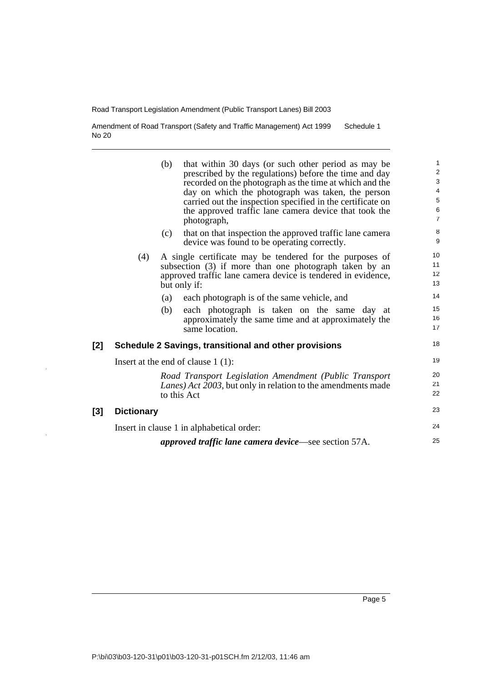Amendment of Road Transport (Safety and Traffic Management) Act 1999 No 20 Schedule 1

|     |                   | (b)<br>(c) | that within 30 days (or such other period as may be<br>prescribed by the regulations) before the time and day<br>recorded on the photograph as the time at which and the<br>day on which the photograph was taken, the person<br>carried out the inspection specified in the certificate on<br>the approved traffic lane camera device that took the<br>photograph,<br>that on that inspection the approved traffic lane camera<br>device was found to be operating correctly. | 1<br>$\overline{2}$<br>3<br>4<br>5<br>6<br>$\overline{7}$<br>8<br>9 |
|-----|-------------------|------------|--------------------------------------------------------------------------------------------------------------------------------------------------------------------------------------------------------------------------------------------------------------------------------------------------------------------------------------------------------------------------------------------------------------------------------------------------------------------------------|---------------------------------------------------------------------|
|     | (4)               |            | A single certificate may be tendered for the purposes of<br>subsection (3) if more than one photograph taken by an<br>approved traffic lane camera device is tendered in evidence,<br>but only if:                                                                                                                                                                                                                                                                             | 10<br>11<br>12<br>13                                                |
|     |                   | (a)<br>(b) | each photograph is of the same vehicle, and<br>each photograph is taken on the same day at<br>approximately the same time and at approximately the<br>same location.                                                                                                                                                                                                                                                                                                           | 14<br>15<br>16<br>17                                                |
| [2] |                   |            | Schedule 2 Savings, transitional and other provisions                                                                                                                                                                                                                                                                                                                                                                                                                          | 18                                                                  |
|     |                   |            | Insert at the end of clause $1(1)$ :                                                                                                                                                                                                                                                                                                                                                                                                                                           | 19                                                                  |
|     |                   |            | Road Transport Legislation Amendment (Public Transport<br>Lanes) Act 2003, but only in relation to the amendments made<br>to this Act                                                                                                                                                                                                                                                                                                                                          | 20<br>21<br>22                                                      |
| [3] | <b>Dictionary</b> |            |                                                                                                                                                                                                                                                                                                                                                                                                                                                                                | 23                                                                  |
|     |                   |            | Insert in clause 1 in alphabetical order:                                                                                                                                                                                                                                                                                                                                                                                                                                      | 24                                                                  |
|     |                   |            | <i>approved traffic lane camera device</i> —see section 57A.                                                                                                                                                                                                                                                                                                                                                                                                                   | 25                                                                  |
|     |                   |            |                                                                                                                                                                                                                                                                                                                                                                                                                                                                                |                                                                     |

Page 5

J.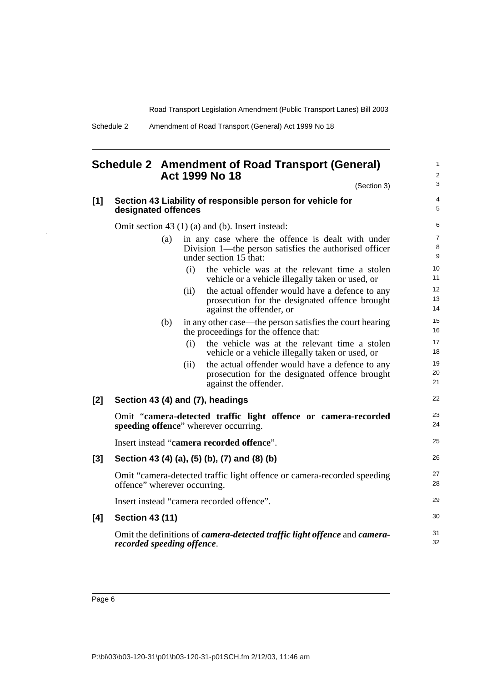Schedule 2 Amendment of Road Transport (General) Act 1999 No 18

## <span id="page-11-0"></span>**Schedule 2 Amendment of Road Transport (General) Act 1999 No 18**

(Section 3)

| [1] | designated offences          | Section 43 Liability of responsible person for vehicle for                                                                            | 4<br>5         |
|-----|------------------------------|---------------------------------------------------------------------------------------------------------------------------------------|----------------|
|     |                              | Omit section 43 $(1)$ (a) and (b). Insert instead:                                                                                    | 6              |
|     | (a)                          | in any case where the offence is dealt with under<br>Division 1—the person satisfies the authorised officer<br>under section 15 that: | 7<br>8<br>9    |
|     |                              | the vehicle was at the relevant time a stolen<br>(i)<br>vehicle or a vehicle illegally taken or used, or                              | 10<br>11       |
|     |                              | the actual offender would have a defence to any<br>(ii)<br>prosecution for the designated offence brought<br>against the offender, or | 12<br>13<br>14 |
|     | (b)                          | in any other case—the person satisfies the court hearing<br>the proceedings for the offence that:                                     | 15<br>16       |
|     |                              | the vehicle was at the relevant time a stolen<br>(i)<br>vehicle or a vehicle illegally taken or used, or                              | 17<br>18       |
|     |                              | the actual offender would have a defence to any<br>(ii)<br>prosecution for the designated offence brought<br>against the offender.    | 19<br>20<br>21 |
| [2] |                              | Section 43 (4) and (7), headings                                                                                                      | 22             |
|     |                              | Omit "camera-detected traffic light offence or camera-recorded<br>speeding offence" wherever occurring.                               | 23<br>24       |
|     |                              | Insert instead "camera recorded offence".                                                                                             | 25             |
| [3] |                              | Section 43 (4) (a), (5) (b), (7) and (8) (b)                                                                                          | 26             |
|     | offence" wherever occurring. | Omit "camera-detected traffic light offence or camera-recorded speeding                                                               | 27<br>28       |
|     |                              | Insert instead "camera recorded offence".                                                                                             | 29             |
| [4] | <b>Section 43 (11)</b>       |                                                                                                                                       | 30             |
|     | recorded speeding offence.   | Omit the definitions of <i>camera-detected traffic light offence</i> and <i>camera-</i>                                               | 31<br>32       |
|     |                              |                                                                                                                                       |                |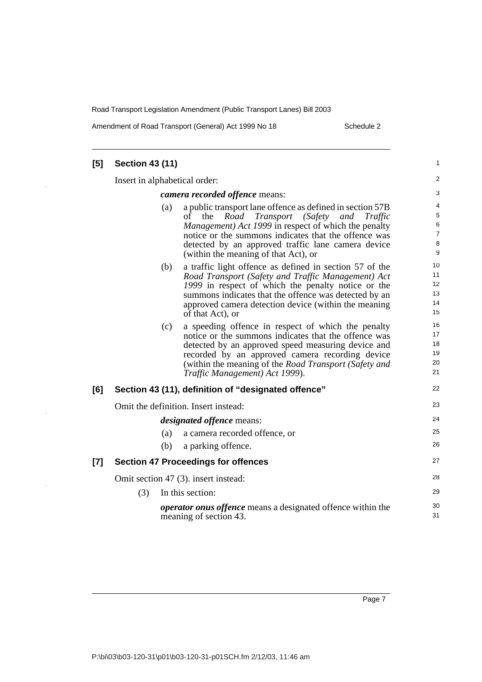Amendment of Road Transport (General) Act 1999 No 18 Schedule 2

 $\hat{\mathcal{A}}$ 

 $\frac{1}{2}$ 

| [5]   | <b>Section 43 (11)</b> |                                                                                                                                                                                                                                                                                                                                            | 1                                       |
|-------|------------------------|--------------------------------------------------------------------------------------------------------------------------------------------------------------------------------------------------------------------------------------------------------------------------------------------------------------------------------------------|-----------------------------------------|
|       |                        | Insert in alphabetical order:                                                                                                                                                                                                                                                                                                              | $\overline{2}$                          |
|       |                        | <i>camera recorded offence</i> means:                                                                                                                                                                                                                                                                                                      | 3                                       |
|       |                        | a public transport lane offence as defined in section 57B<br>(a)<br>of<br>the<br>Road<br>Transport<br>(Safety and<br>Traffic<br>Management) Act 1999 in respect of which the penalty<br>notice or the summons indicates that the offence was<br>detected by an approved traffic lane camera device<br>(within the meaning of that Act), or | 4<br>5<br>6<br>$\overline{7}$<br>8<br>9 |
|       |                        | a traffic light offence as defined in section 57 of the<br>(b)<br>Road Transport (Safety and Traffic Management) Act<br>1999 in respect of which the penalty notice or the<br>summons indicates that the offence was detected by an<br>approved camera detection device (within the meaning<br>of that Act), or                            | 10<br>11<br>12<br>13<br>14<br>15        |
|       |                        | a speeding offence in respect of which the penalty<br>(c)<br>notice or the summons indicates that the offence was<br>detected by an approved speed measuring device and<br>recorded by an approved camera recording device<br>(within the meaning of the Road Transport (Safety and<br>Traffic Management) Act 1999).                      | 16<br>17<br>18<br>19<br>20<br>21        |
| [6]   |                        | Section 43 (11), definition of "designated offence"                                                                                                                                                                                                                                                                                        | 22                                      |
|       |                        | Omit the definition. Insert instead:                                                                                                                                                                                                                                                                                                       | 23                                      |
|       |                        | <i>designated offence</i> means:                                                                                                                                                                                                                                                                                                           | 24                                      |
|       |                        | a camera recorded offence, or<br>(a)                                                                                                                                                                                                                                                                                                       | 25                                      |
|       |                        | a parking offence.<br>(b)                                                                                                                                                                                                                                                                                                                  | 26                                      |
| $[7]$ |                        | <b>Section 47 Proceedings for offences</b>                                                                                                                                                                                                                                                                                                 | 27                                      |
|       |                        | Omit section 47 (3). insert instead:                                                                                                                                                                                                                                                                                                       | 28                                      |
|       | (3)                    | In this section:                                                                                                                                                                                                                                                                                                                           | 29                                      |
|       |                        | <i>operator onus offence</i> means a designated offence within the<br>meaning of section 43.                                                                                                                                                                                                                                               | 30<br>31                                |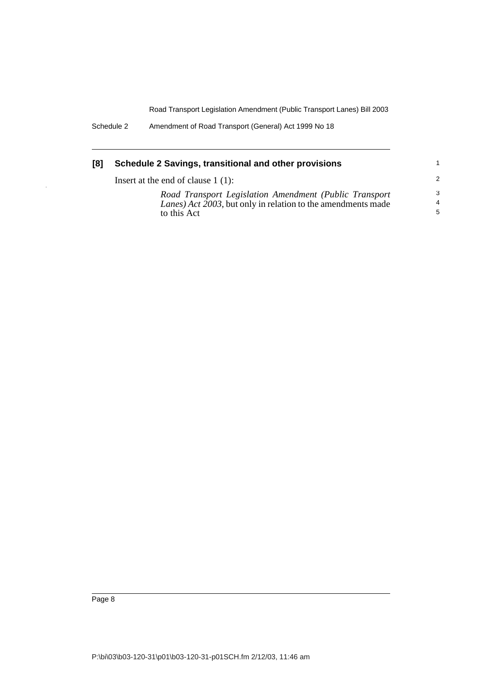Schedule 2 Amendment of Road Transport (General) Act 1999 No 18

### **[8] Schedule 2 Savings, transitional and other provisions**

Insert at the end of clause 1 (1):

*Road Transport Legislation Amendment (Public Transport Lanes) Act 2003*, but only in relation to the amendments made to this Act

Page 8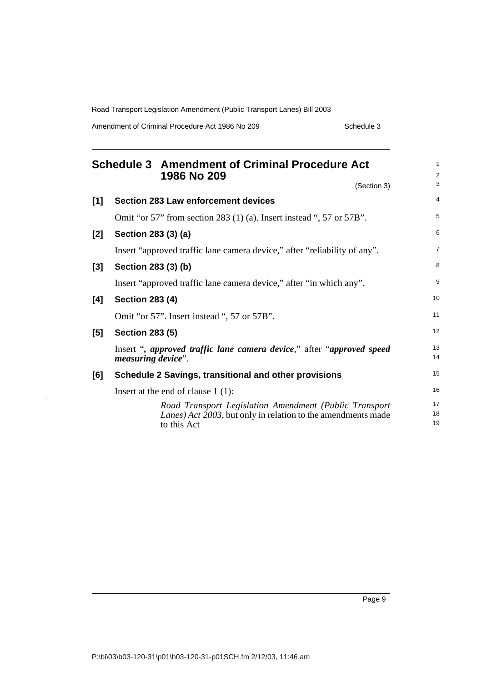Amendment of Criminal Procedure Act 1986 No 209 Schedule 3

l,

<span id="page-14-0"></span>

| <b>Schedule 3 Amendment of Criminal Procedure Act</b><br>1986 No 209 |                                                                                                                                       | 1<br>$\overline{\mathbf{c}}$ |
|----------------------------------------------------------------------|---------------------------------------------------------------------------------------------------------------------------------------|------------------------------|
|                                                                      | (Section 3)                                                                                                                           | 3                            |
| [1]                                                                  | <b>Section 283 Law enforcement devices</b>                                                                                            | $\overline{4}$               |
|                                                                      | Omit "or 57" from section 283 (1) (a). Insert instead ", 57 or 57B".                                                                  | 5                            |
| [2]                                                                  | Section 283 (3) (a)                                                                                                                   | 6                            |
|                                                                      | Insert "approved traffic lane camera device," after "reliability of any".                                                             | $\overline{7}$               |
| $[3]$                                                                | Section 283 (3) (b)                                                                                                                   | 8                            |
|                                                                      | Insert "approved traffic lane camera device," after "in which any".                                                                   | 9                            |
| [4]                                                                  | <b>Section 283 (4)</b>                                                                                                                | 10                           |
|                                                                      | Omit "or 57". Insert instead ", 57 or 57B".                                                                                           | 11                           |
| [5]                                                                  | <b>Section 283 (5)</b>                                                                                                                | 12                           |
|                                                                      | Insert ", approved traffic lane camera device," after "approved speed<br><i>measuring device".</i>                                    | 13<br>14                     |
| [6]                                                                  | Schedule 2 Savings, transitional and other provisions                                                                                 | 15                           |
|                                                                      | Insert at the end of clause $1(1)$ :                                                                                                  | 16                           |
|                                                                      | Road Transport Legislation Amendment (Public Transport<br>Lanes) Act 2003, but only in relation to the amendments made<br>to this Act | 17<br>18<br>19               |